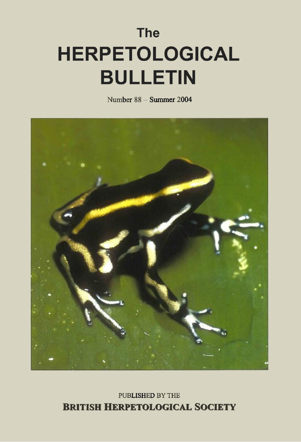# **The HERPETOLOGICAL BULLETIN**

Number 88 - Summer 2004



**PUBLISHED BY THE BRITISH HERPETOLOGICAL SOCIETY**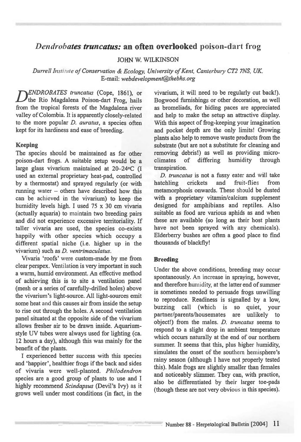## *Dendrobates truncatus: an* **often overlooked** poison-dart frog

**JOHN W. WILKINSON** 

*Durrell Institute of Conservation & Ecology, University of Kent, Canterbury CT2 7NS, UK E-mail: webdeveloprnent@thebhs.org* 

*D ENDROBATES truncatus* (Cope, 1861), or the Rio Magdalena Poison-dart Frog, hails from the tropical forests of the Magdalena river valley of Colombia. It is apparently closely-related to the more popular *D. auratus,* a species often kept for its hardiness and ease of breeding.

#### Keeping

The species should be maintained as for other poison-dart frogs. A suitable setup would be a large glass vivarium maintained at 20-24°C (I used an external proprietary heat-pad, controlled by a thermostat) and sprayed regularly (or with running water — others have described how this can be achieved in the vivarium) to keep the humidity levels high. I used 75 x 30 cm vivaria (actually aquaria) to maintain two breeding pairs and did not experience excessive territoriality. If taller vivaria are used, the species co-exists happily with other species which occupy a different spatial niche (i.e. higher up in the vivarium) such as *D. ventrimaculatus.* 

Vivaria 'roofs' were custom-made by me from clear perspex. Ventilation is very important in such a warm, humid environment. An effective method of achieving this is to site a ventilation panel (mesh or a series of carefully-drilled holes) above the vivarium's light-source. All light-sources emit some heat and this causes air from inside the setup to rise out through the holes. A second ventilation panel situated at the opposite side of the vivarium allows fresher air to be drawn inside. Aquariumstyle UV tubes were always used for lighting (ca. 12 hours a day), although this was mainly for the benefit of the plants.

I experienced better success with this species and 'happier', healthier frogs if the back and sides of vivaria were well-planted. *Philodendron*  species are a good group of plants to use and I highly recommend *Scindapsus* (Devil's Ivy) as it grows well under most conditions (in fact, in the

vivarium, it will need to be regularly cut back!). Bogwood furnishings or other decoration, as well as bromeliads, for hiding paces are appreciated and help to make the setup an attractive display. With this aspect of frog-keeping your imagination and pocket depth are the only limits! Growing plants also help to remove waste products from the substrate (but are not a substitute for cleaning and removing debris!) as well as providing micro-<br>climates of differing humidity through climates of differing humidity through transpiration.

*D. truncatus* is not a fussy eater and will take hatchling crickets and fruit-flies from metamorphosis onwards. These should be dusted with a proprietary vitamin/calcium supplement designed for amphibians and reptiles. Also suitable as food are various aphids as and when these are available (so long as their host plants have not been sprayed with any chemicals). Elderberry bushes are often a good place to find thousands of blackfly!

#### **Breeding**

Under the above conditions, breeding may occur spontaneously. An increase in spraying, however, and therefore humidity, at the latter end of summer is sometimes needed to persuade frogs unwilling to reproduce. Readiness is signalled by a low, buzzing call (which is so quiet, your partner/parents/housemates are unlikely to object!) from the males. *D. truncatus* seems to respond to a slight drop in ambient temperature which occurs naturally at the end of our northern summer. It seems that this, plus higher humidity, simulates the onset of the southern hemisphere's rainy season (although I have not properly tested this). Male frogs are slightly smaller than females and noticeably slimmer. They can, with practice, also be differentiated by their larger toe-pads (though these are not very obvious in this species).